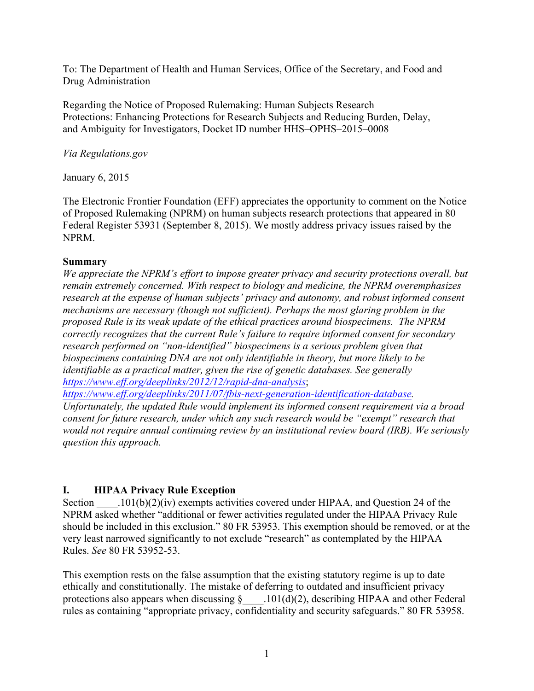To: The Department of Health and Human Services, Office of the Secretary, and Food and Drug Administration

Regarding the Notice of Proposed Rulemaking: Human Subjects Research Protections: Enhancing Protections for Research Subjects and Reducing Burden, Delay, and Ambiguity for Investigators, Docket ID number HHS–OPHS–2015–0008

*Via Regulations.gov*

January 6, 2015

The Electronic Frontier Foundation (EFF) appreciates the opportunity to comment on the Notice of Proposed Rulemaking (NPRM) on human subjects research protections that appeared in 80 Federal Register 53931 (September 8, 2015). We mostly address privacy issues raised by the NPRM.

#### **Summary**

*We appreciate the NPRM's effort to impose greater privacy and security protections overall, but remain extremely concerned. With respect to biology and medicine, the NPRM overemphasizes research at the expense of human subjects' privacy and autonomy, and robust informed consent mechanisms are necessary (though not sufficient). Perhaps the most glaring problem in the proposed Rule is its weak update of the ethical practices around biospecimens. The NPRM correctly recognizes that the current Rule's failure to require informed consent for secondary research performed on "non-identified" biospecimens is a serious problem given that biospecimens containing DNA are not only identifiable in theory, but more likely to be identifiable as a practical matter, given the rise of genetic databases. See generally https://www.eff.org/deeplinks/2012/12/rapid-dna-analysis*;

*https://www.eff.org/deeplinks/2011/07/fbis-next-generation-identification-database.*

*Unfortunately, the updated Rule would implement its informed consent requirement via a broad consent for future research, under which any such research would be "exempt" research that would not require annual continuing review by an institutional review board (IRB). We seriously question this approach.* 

### **I. HIPAA Privacy Rule Exception**

Section  $101(b)(2)(iv)$  exempts activities covered under HIPAA, and Question 24 of the NPRM asked whether "additional or fewer activities regulated under the HIPAA Privacy Rule should be included in this exclusion." 80 FR 53953. This exemption should be removed, or at the very least narrowed significantly to not exclude "research" as contemplated by the HIPAA Rules. *See* 80 FR 53952-53.

This exemption rests on the false assumption that the existing statutory regime is up to date ethically and constitutionally. The mistake of deferring to outdated and insufficient privacy protections also appears when discussing  $\S$  . 101(d)(2), describing HIPAA and other Federal rules as containing "appropriate privacy, confidentiality and security safeguards." 80 FR 53958.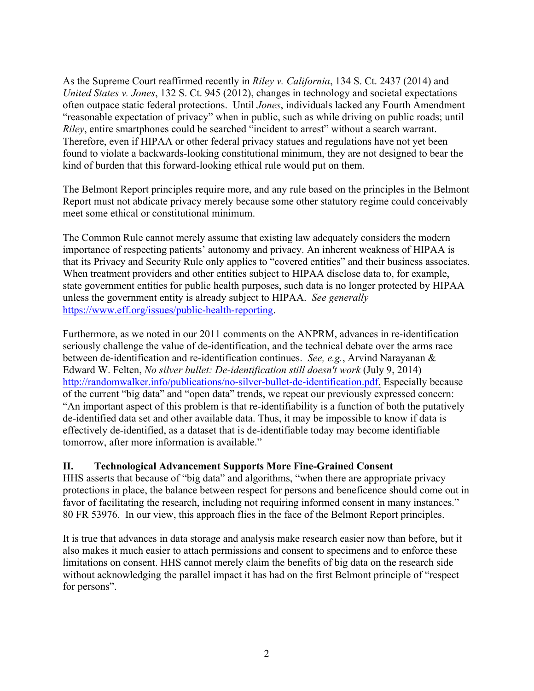As the Supreme Court reaffirmed recently in *Riley v. California*, 134 S. Ct. 2437 (2014) and *United States v. Jones*, 132 S. Ct. 945 (2012), changes in technology and societal expectations often outpace static federal protections. Until *Jones*, individuals lacked any Fourth Amendment "reasonable expectation of privacy" when in public, such as while driving on public roads; until *Riley*, entire smartphones could be searched "incident to arrest" without a search warrant. Therefore, even if HIPAA or other federal privacy statues and regulations have not yet been found to violate a backwards-looking constitutional minimum, they are not designed to bear the kind of burden that this forward-looking ethical rule would put on them.

The Belmont Report principles require more, and any rule based on the principles in the Belmont Report must not abdicate privacy merely because some other statutory regime could conceivably meet some ethical or constitutional minimum.

The Common Rule cannot merely assume that existing law adequately considers the modern importance of respecting patients' autonomy and privacy. An inherent weakness of HIPAA is that its Privacy and Security Rule only applies to "covered entities" and their business associates. When treatment providers and other entities subject to HIPAA disclose data to, for example, state government entities for public health purposes, such data is no longer protected by HIPAA unless the government entity is already subject to HIPAA. *See generally* https://www.eff.org/issues/public-health-reporting.

Furthermore, as we noted in our 2011 comments on the ANPRM, advances in re-identification seriously challenge the value of de-identification, and the technical debate over the arms race between de-identification and re-identification continues. *See, e.g.*, Arvind Narayanan & Edward W. Felten, *No silver bullet: De-identification still doesn't work* (July 9, 2014) http://randomwalker.info/publications/no-silver-bullet-de-identification.pdf. Especially because of the current "big data" and "open data" trends, we repeat our previously expressed concern: "An important aspect of this problem is that re-identifiability is a function of both the putatively de-identified data set and other available data. Thus, it may be impossible to know if data is effectively de-identified, as a dataset that is de-identifiable today may become identifiable tomorrow, after more information is available."

### **II. Technological Advancement Supports More Fine-Grained Consent**

HHS asserts that because of "big data" and algorithms, "when there are appropriate privacy protections in place, the balance between respect for persons and beneficence should come out in favor of facilitating the research, including not requiring informed consent in many instances." 80 FR 53976. In our view, this approach flies in the face of the Belmont Report principles.

It is true that advances in data storage and analysis make research easier now than before, but it also makes it much easier to attach permissions and consent to specimens and to enforce these limitations on consent. HHS cannot merely claim the benefits of big data on the research side without acknowledging the parallel impact it has had on the first Belmont principle of "respect for persons".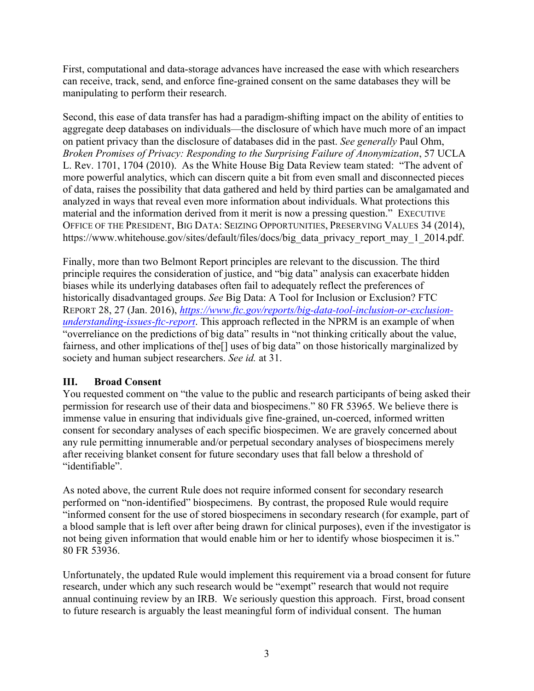First, computational and data-storage advances have increased the ease with which researchers can receive, track, send, and enforce fine-grained consent on the same databases they will be manipulating to perform their research.

Second, this ease of data transfer has had a paradigm-shifting impact on the ability of entities to aggregate deep databases on individuals—the disclosure of which have much more of an impact on patient privacy than the disclosure of databases did in the past. *See generally* Paul Ohm, *Broken Promises of Privacy: Responding to the Surprising Failure of Anonymization*, 57 UCLA L. Rev. 1701, 1704 (2010). As the White House Big Data Review team stated: "The advent of more powerful analytics, which can discern quite a bit from even small and disconnected pieces of data, raises the possibility that data gathered and held by third parties can be amalgamated and analyzed in ways that reveal even more information about individuals. What protections this material and the information derived from it merit is now a pressing question." EXECUTIVE OFFICE OF THE PRESIDENT, BIG DATA: SEIZING OPPORTUNITIES, PRESERVING VALUES 34 (2014), https://www.whitehouse.gov/sites/default/files/docs/big\_data\_privacy\_report\_may\_1\_2014.pdf.

Finally, more than two Belmont Report principles are relevant to the discussion. The third principle requires the consideration of justice, and "big data" analysis can exacerbate hidden biases while its underlying databases often fail to adequately reflect the preferences of historically disadvantaged groups. *See* Big Data: A Tool for Inclusion or Exclusion? FTC REPORT 28, 27 (Jan. 2016), *https://www.ftc.gov/reports/big-data-tool-inclusion-or-exclusionunderstanding-issues-ftc-report*. This approach reflected in the NPRM is an example of when "overreliance on the predictions of big data" results in "not thinking critically about the value, fairness, and other implications of the[] uses of big data" on those historically marginalized by society and human subject researchers. *See id.* at 31.

### **III. Broad Consent**

You requested comment on "the value to the public and research participants of being asked their permission for research use of their data and biospecimens." 80 FR 53965. We believe there is immense value in ensuring that individuals give fine-grained, un-coerced, informed written consent for secondary analyses of each specific biospecimen. We are gravely concerned about any rule permitting innumerable and/or perpetual secondary analyses of biospecimens merely after receiving blanket consent for future secondary uses that fall below a threshold of "identifiable".

As noted above, the current Rule does not require informed consent for secondary research performed on "non-identified" biospecimens. By contrast, the proposed Rule would require "informed consent for the use of stored biospecimens in secondary research (for example, part of a blood sample that is left over after being drawn for clinical purposes), even if the investigator is not being given information that would enable him or her to identify whose biospecimen it is." 80 FR 53936.

Unfortunately, the updated Rule would implement this requirement via a broad consent for future research, under which any such research would be "exempt" research that would not require annual continuing review by an IRB. We seriously question this approach. First, broad consent to future research is arguably the least meaningful form of individual consent. The human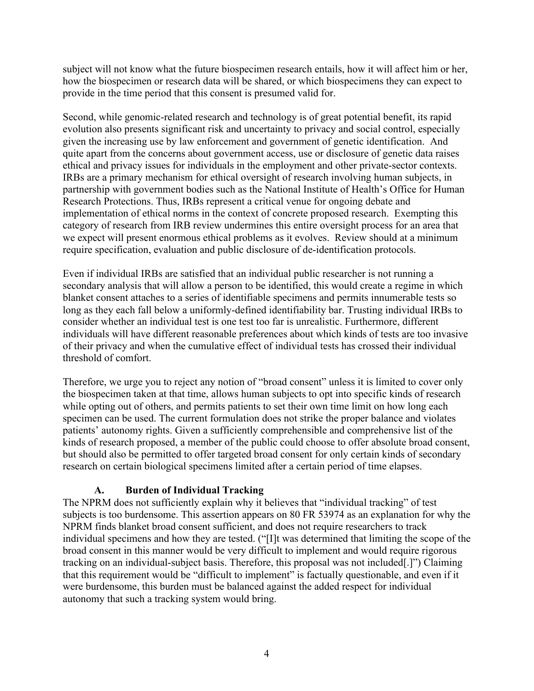subject will not know what the future biospecimen research entails, how it will affect him or her, how the biospecimen or research data will be shared, or which biospecimens they can expect to provide in the time period that this consent is presumed valid for.

Second, while genomic-related research and technology is of great potential benefit, its rapid evolution also presents significant risk and uncertainty to privacy and social control, especially given the increasing use by law enforcement and government of genetic identification. And quite apart from the concerns about government access, use or disclosure of genetic data raises ethical and privacy issues for individuals in the employment and other private-sector contexts. IRBs are a primary mechanism for ethical oversight of research involving human subjects, in partnership with government bodies such as the National Institute of Health's Office for Human Research Protections. Thus, IRBs represent a critical venue for ongoing debate and implementation of ethical norms in the context of concrete proposed research. Exempting this category of research from IRB review undermines this entire oversight process for an area that we expect will present enormous ethical problems as it evolves. Review should at a minimum require specification, evaluation and public disclosure of de-identification protocols.

Even if individual IRBs are satisfied that an individual public researcher is not running a secondary analysis that will allow a person to be identified, this would create a regime in which blanket consent attaches to a series of identifiable specimens and permits innumerable tests so long as they each fall below a uniformly-defined identifiability bar. Trusting individual IRBs to consider whether an individual test is one test too far is unrealistic. Furthermore, different individuals will have different reasonable preferences about which kinds of tests are too invasive of their privacy and when the cumulative effect of individual tests has crossed their individual threshold of comfort.

Therefore, we urge you to reject any notion of "broad consent" unless it is limited to cover only the biospecimen taken at that time, allows human subjects to opt into specific kinds of research while opting out of others, and permits patients to set their own time limit on how long each specimen can be used. The current formulation does not strike the proper balance and violates patients' autonomy rights. Given a sufficiently comprehensible and comprehensive list of the kinds of research proposed, a member of the public could choose to offer absolute broad consent, but should also be permitted to offer targeted broad consent for only certain kinds of secondary research on certain biological specimens limited after a certain period of time elapses.

### **A. Burden of Individual Tracking**

The NPRM does not sufficiently explain why it believes that "individual tracking" of test subjects is too burdensome. This assertion appears on 80 FR 53974 as an explanation for why the NPRM finds blanket broad consent sufficient, and does not require researchers to track individual specimens and how they are tested. ("[I]t was determined that limiting the scope of the broad consent in this manner would be very difficult to implement and would require rigorous tracking on an individual-subject basis. Therefore, this proposal was not included[.]") Claiming that this requirement would be "difficult to implement" is factually questionable, and even if it were burdensome, this burden must be balanced against the added respect for individual autonomy that such a tracking system would bring.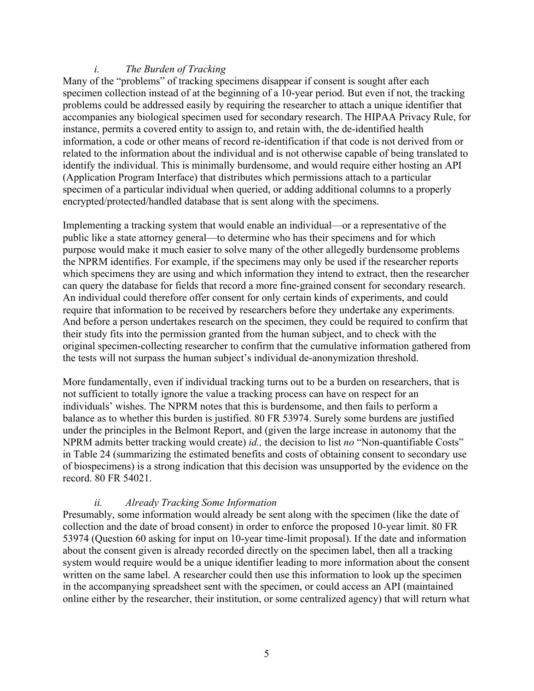### *i. The Burden of Tracking*

Many of the "problems" of tracking specimens disappear if consent is sought after each specimen collection instead of at the beginning of a 10-year period. But even if not, the tracking problems could be addressed easily by requiring the researcher to attach a unique identifier that accompanies any biological specimen used for secondary research. The HIPAA Privacy Rule, for instance, permits a covered entity to assign to, and retain with, the de-identified health information, a code or other means of record re-identification if that code is not derived from or related to the information about the individual and is not otherwise capable of being translated to identify the individual. This is minimally burdensome, and would require either hosting an API (Application Program Interface) that distributes which permissions attach to a particular specimen of a particular individual when queried, or adding additional columns to a properly encrypted/protected/handled database that is sent along with the specimens.

Implementing a tracking system that would enable an individual—or a representative of the public like a state attorney general—to determine who has their specimens and for which purpose would make it much easier to solve many of the other allegedly burdensome problems the NPRM identifies. For example, if the specimens may only be used if the researcher reports which specimens they are using and which information they intend to extract, then the researcher can query the database for fields that record a more fine-grained consent for secondary research. An individual could therefore offer consent for only certain kinds of experiments, and could require that information to be received by researchers before they undertake any experiments. And before a person undertakes research on the specimen, they could be required to confirm that their study fits into the permission granted from the human subject, and to check with the original specimen-collecting researcher to confirm that the cumulative information gathered from the tests will not surpass the human subject's individual de-anonymization threshold.

More fundamentally, even if individual tracking turns out to be a burden on researchers, that is not sufficient to totally ignore the value a tracking process can have on respect for an individuals' wishes. The NPRM notes that this is burdensome, and then fails to perform a balance as to whether this burden is justified. 80 FR 53974. Surely some burdens are justified under the principles in the Belmont Report, and (given the large increase in autonomy that the NPRM admits better tracking would create) *id.,* the decision to list *no* "Non-quantifiable Costs" in Table 24 (summarizing the estimated benefits and costs of obtaining consent to secondary use of biospecimens) is a strong indication that this decision was unsupported by the evidence on the record. 80 FR 54021.

#### *ii. Already Tracking Some Information*

Presumably, some information would already be sent along with the specimen (like the date of collection and the date of broad consent) in order to enforce the proposed 10-year limit. 80 FR 53974 (Question 60 asking for input on 10-year time-limit proposal). If the date and information about the consent given is already recorded directly on the specimen label, then all a tracking system would require would be a unique identifier leading to more information about the consent written on the same label. A researcher could then use this information to look up the specimen in the accompanying spreadsheet sent with the specimen, or could access an API (maintained online either by the researcher, their institution, or some centralized agency) that will return what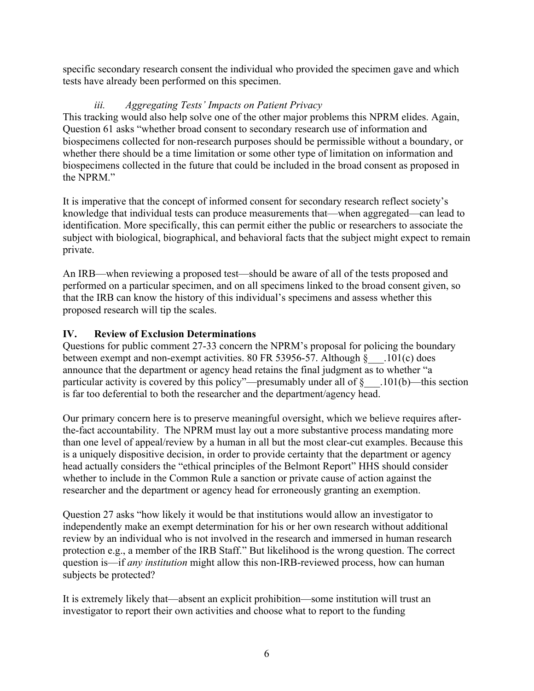specific secondary research consent the individual who provided the specimen gave and which tests have already been performed on this specimen.

## *iii. Aggregating Tests' Impacts on Patient Privacy*

This tracking would also help solve one of the other major problems this NPRM elides. Again, Question 61 asks "whether broad consent to secondary research use of information and biospecimens collected for non-research purposes should be permissible without a boundary, or whether there should be a time limitation or some other type of limitation on information and biospecimens collected in the future that could be included in the broad consent as proposed in the NPRM."

It is imperative that the concept of informed consent for secondary research reflect society's knowledge that individual tests can produce measurements that—when aggregated—can lead to identification. More specifically, this can permit either the public or researchers to associate the subject with biological, biographical, and behavioral facts that the subject might expect to remain private.

An IRB—when reviewing a proposed test—should be aware of all of the tests proposed and performed on a particular specimen, and on all specimens linked to the broad consent given, so that the IRB can know the history of this individual's specimens and assess whether this proposed research will tip the scales.

# **IV. Review of Exclusion Determinations**

Questions for public comment 27-33 concern the NPRM's proposal for policing the boundary between exempt and non-exempt activities. 80 FR 53956-57. Although § \_\_\_.101(c) does announce that the department or agency head retains the final judgment as to whether "a particular activity is covered by this policy"—presumably under all of §\_\_\_.101(b)—this section is far too deferential to both the researcher and the department/agency head.

Our primary concern here is to preserve meaningful oversight, which we believe requires afterthe-fact accountability. The NPRM must lay out a more substantive process mandating more than one level of appeal/review by a human in all but the most clear-cut examples. Because this is a uniquely dispositive decision, in order to provide certainty that the department or agency head actually considers the "ethical principles of the Belmont Report" HHS should consider whether to include in the Common Rule a sanction or private cause of action against the researcher and the department or agency head for erroneously granting an exemption.

Question 27 asks "how likely it would be that institutions would allow an investigator to independently make an exempt determination for his or her own research without additional review by an individual who is not involved in the research and immersed in human research protection e.g., a member of the IRB Staff." But likelihood is the wrong question. The correct question is—if *any institution* might allow this non-IRB-reviewed process, how can human subjects be protected?

It is extremely likely that—absent an explicit prohibition—some institution will trust an investigator to report their own activities and choose what to report to the funding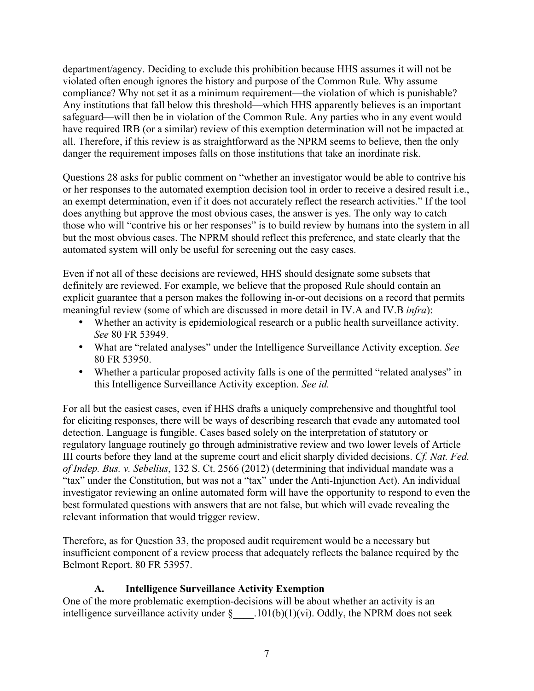department/agency. Deciding to exclude this prohibition because HHS assumes it will not be violated often enough ignores the history and purpose of the Common Rule. Why assume compliance? Why not set it as a minimum requirement—the violation of which is punishable? Any institutions that fall below this threshold—which HHS apparently believes is an important safeguard—will then be in violation of the Common Rule. Any parties who in any event would have required IRB (or a similar) review of this exemption determination will not be impacted at all. Therefore, if this review is as straightforward as the NPRM seems to believe, then the only danger the requirement imposes falls on those institutions that take an inordinate risk.

Questions 28 asks for public comment on "whether an investigator would be able to contrive his or her responses to the automated exemption decision tool in order to receive a desired result i.e., an exempt determination, even if it does not accurately reflect the research activities." If the tool does anything but approve the most obvious cases, the answer is yes. The only way to catch those who will "contrive his or her responses" is to build review by humans into the system in all but the most obvious cases. The NPRM should reflect this preference, and state clearly that the automated system will only be useful for screening out the easy cases.

Even if not all of these decisions are reviewed, HHS should designate some subsets that definitely are reviewed. For example, we believe that the proposed Rule should contain an explicit guarantee that a person makes the following in-or-out decisions on a record that permits meaningful review (some of which are discussed in more detail in IV.A and IV.B *infra*):

- Whether an activity is epidemiological research or a public health surveillance activity. *See* 80 FR 53949.
- What are "related analyses" under the Intelligence Surveillance Activity exception. *See*  80 FR 53950.
- Whether a particular proposed activity falls is one of the permitted "related analyses" in this Intelligence Surveillance Activity exception. *See id.*

For all but the easiest cases, even if HHS drafts a uniquely comprehensive and thoughtful tool for eliciting responses, there will be ways of describing research that evade any automated tool detection. Language is fungible. Cases based solely on the interpretation of statutory or regulatory language routinely go through administrative review and two lower levels of Article III courts before they land at the supreme court and elicit sharply divided decisions. *Cf. Nat. Fed. of Indep. Bus. v. Sebelius*, 132 S. Ct. 2566 (2012) (determining that individual mandate was a "tax" under the Constitution, but was not a "tax" under the Anti-Injunction Act). An individual investigator reviewing an online automated form will have the opportunity to respond to even the best formulated questions with answers that are not false, but which will evade revealing the relevant information that would trigger review.

Therefore, as for Question 33, the proposed audit requirement would be a necessary but insufficient component of a review process that adequately reflects the balance required by the Belmont Report. 80 FR 53957.

### **A. Intelligence Surveillance Activity Exemption**

One of the more problematic exemption-decisions will be about whether an activity is an intelligence surveillance activity under  $\S$  ... 101(b)(1)(vi). Oddly, the NPRM does not seek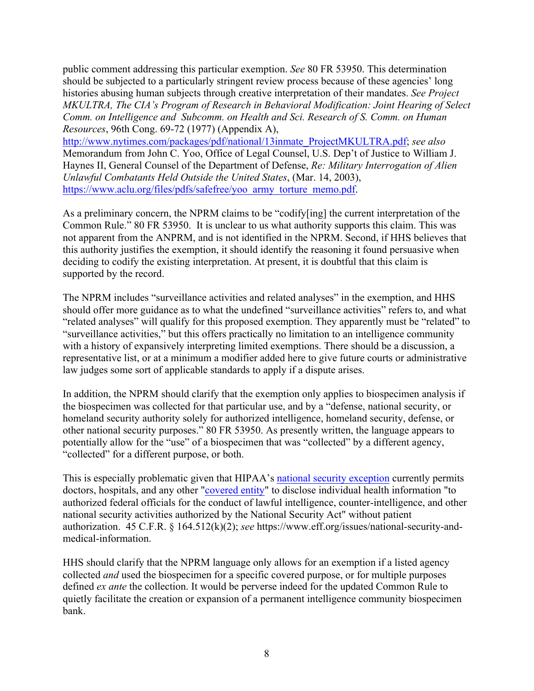public comment addressing this particular exemption. *See* 80 FR 53950. This determination should be subjected to a particularly stringent review process because of these agencies' long histories abusing human subjects through creative interpretation of their mandates. *See Project MKULTRA, The CIA's Program of Research in Behavioral Modification: Joint Hearing of Select Comm. on Intelligence and Subcomm. on Health and Sci. Research of S. Comm. on Human Resources*, 96th Cong. 69-72 (1977) (Appendix A),

http://www.nytimes.com/packages/pdf/national/13inmate\_ProjectMKULTRA.pdf; *see also*  Memorandum from John C. Yoo, Office of Legal Counsel, U.S. Dep't of Justice to William J. Haynes II, General Counsel of the Department of Defense, *Re: Military Interrogation of Alien Unlawful Combatants Held Outside the United States*, (Mar. 14, 2003), https://www.aclu.org/files/pdfs/safefree/yoo\_army\_torture\_memo.pdf.

As a preliminary concern, the NPRM claims to be "codify[ing] the current interpretation of the Common Rule." 80 FR 53950. It is unclear to us what authority supports this claim. This was not apparent from the ANPRM, and is not identified in the NPRM. Second, if HHS believes that this authority justifies the exemption, it should identify the reasoning it found persuasive when deciding to codify the existing interpretation. At present, it is doubtful that this claim is supported by the record.

The NPRM includes "surveillance activities and related analyses" in the exemption, and HHS should offer more guidance as to what the undefined "surveillance activities" refers to, and what "related analyses" will qualify for this proposed exemption. They apparently must be "related" to "surveillance activities," but this offers practically no limitation to an intelligence community with a history of expansively interpreting limited exemptions. There should be a discussion, a representative list, or at a minimum a modifier added here to give future courts or administrative law judges some sort of applicable standards to apply if a dispute arises.

In addition, the NPRM should clarify that the exemption only applies to biospecimen analysis if the biospecimen was collected for that particular use, and by a "defense, national security, or homeland security authority solely for authorized intelligence, homeland security, defense, or other national security purposes." 80 FR 53950. As presently written, the language appears to potentially allow for the "use" of a biospecimen that was "collected" by a different agency, "collected" for a different purpose, or both.

This is especially problematic given that HIPAA's national security exception currently permits doctors, hospitals, and any other "covered entity" to disclose individual health information "to authorized federal officials for the conduct of lawful intelligence, counter-intelligence, and other national security activities authorized by the National Security Act" without patient authorization. 45 C.F.R. § 164.512(k)(2); *see* https://www.eff.org/issues/national-security-andmedical-information.

HHS should clarify that the NPRM language only allows for an exemption if a listed agency collected *and* used the biospecimen for a specific covered purpose, or for multiple purposes defined *ex ante* the collection. It would be perverse indeed for the updated Common Rule to quietly facilitate the creation or expansion of a permanent intelligence community biospecimen bank.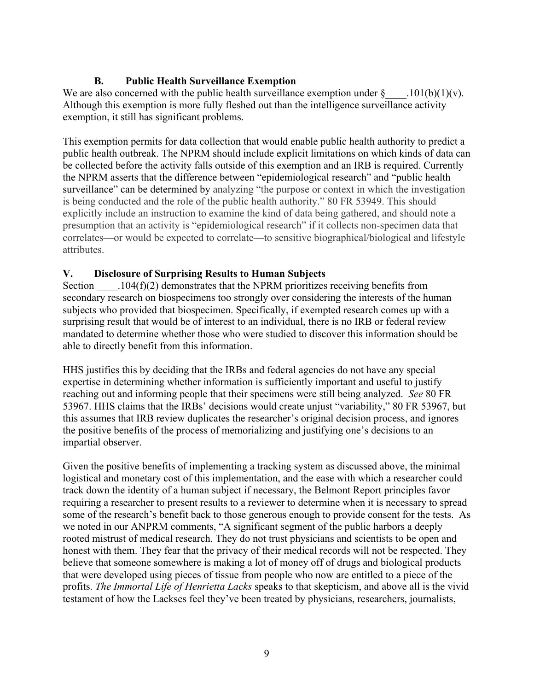# **B. Public Health Surveillance Exemption**

We are also concerned with the public health surveillance exemption under  $\S$  . 101(b)(1)(v). Although this exemption is more fully fleshed out than the intelligence surveillance activity exemption, it still has significant problems.

This exemption permits for data collection that would enable public health authority to predict a public health outbreak. The NPRM should include explicit limitations on which kinds of data can be collected before the activity falls outside of this exemption and an IRB is required. Currently the NPRM asserts that the difference between "epidemiological research" and "public health surveillance" can be determined by analyzing "the purpose or context in which the investigation is being conducted and the role of the public health authority." 80 FR 53949. This should explicitly include an instruction to examine the kind of data being gathered, and should note a presumption that an activity is "epidemiological research" if it collects non-specimen data that correlates—or would be expected to correlate—to sensitive biographical/biological and lifestyle attributes.

### **V. Disclosure of Surprising Results to Human Subjects**

Section  $104(f)(2)$  demonstrates that the NPRM prioritizes receiving benefits from secondary research on biospecimens too strongly over considering the interests of the human subjects who provided that biospecimen. Specifically, if exempted research comes up with a surprising result that would be of interest to an individual, there is no IRB or federal review mandated to determine whether those who were studied to discover this information should be able to directly benefit from this information.

HHS justifies this by deciding that the IRBs and federal agencies do not have any special expertise in determining whether information is sufficiently important and useful to justify reaching out and informing people that their specimens were still being analyzed. *See* 80 FR 53967. HHS claims that the IRBs' decisions would create unjust "variability," 80 FR 53967, but this assumes that IRB review duplicates the researcher's original decision process, and ignores the positive benefits of the process of memorializing and justifying one's decisions to an impartial observer.

Given the positive benefits of implementing a tracking system as discussed above, the minimal logistical and monetary cost of this implementation, and the ease with which a researcher could track down the identity of a human subject if necessary, the Belmont Report principles favor requiring a researcher to present results to a reviewer to determine when it is necessary to spread some of the research's benefit back to those generous enough to provide consent for the tests. As we noted in our ANPRM comments, "A significant segment of the public harbors a deeply rooted mistrust of medical research. They do not trust physicians and scientists to be open and honest with them. They fear that the privacy of their medical records will not be respected. They believe that someone somewhere is making a lot of money off of drugs and biological products that were developed using pieces of tissue from people who now are entitled to a piece of the profits. *The Immortal Life of Henrietta Lacks* speaks to that skepticism, and above all is the vivid testament of how the Lackses feel they've been treated by physicians, researchers, journalists,